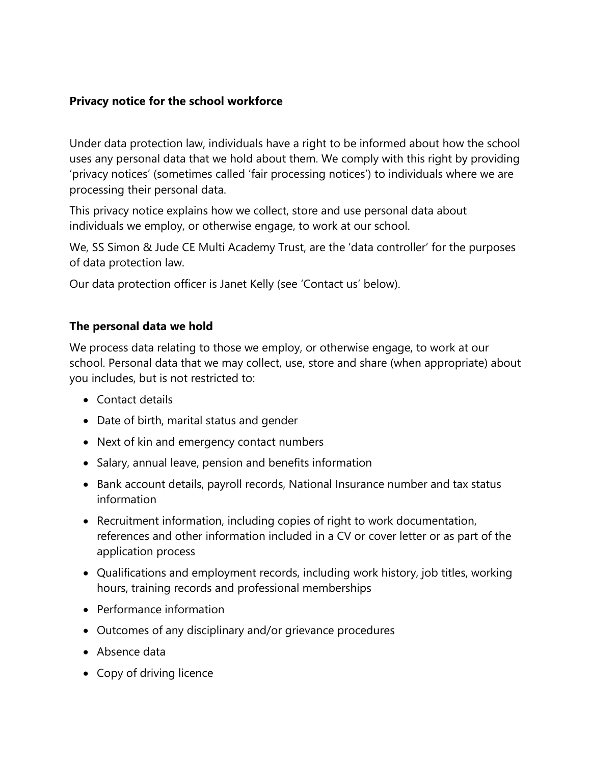### **Privacy notice for the school workforce**

Under data protection law, individuals have a right to be informed about how the school uses any personal data that we hold about them. We comply with this right by providing 'privacy notices' (sometimes called 'fair processing notices') to individuals where we are processing their personal data.

This privacy notice explains how we collect, store and use personal data about individuals we employ, or otherwise engage, to work at our school.

We, SS Simon & Jude CE Multi Academy Trust, are the 'data controller' for the purposes of data protection law.

Our data protection officer is Janet Kelly (see 'Contact us' below).

## **The personal data we hold**

We process data relating to those we employ, or otherwise engage, to work at our school. Personal data that we may collect, use, store and share (when appropriate) about you includes, but is not restricted to:

- Contact details
- Date of birth, marital status and gender
- Next of kin and emergency contact numbers
- Salary, annual leave, pension and benefits information
- Bank account details, payroll records, National Insurance number and tax status information
- Recruitment information, including copies of right to work documentation, references and other information included in a CV or cover letter or as part of the application process
- Qualifications and employment records, including work history, job titles, working hours, training records and professional memberships
- Performance information
- Outcomes of any disciplinary and/or grievance procedures
- Absence data
- Copy of driving licence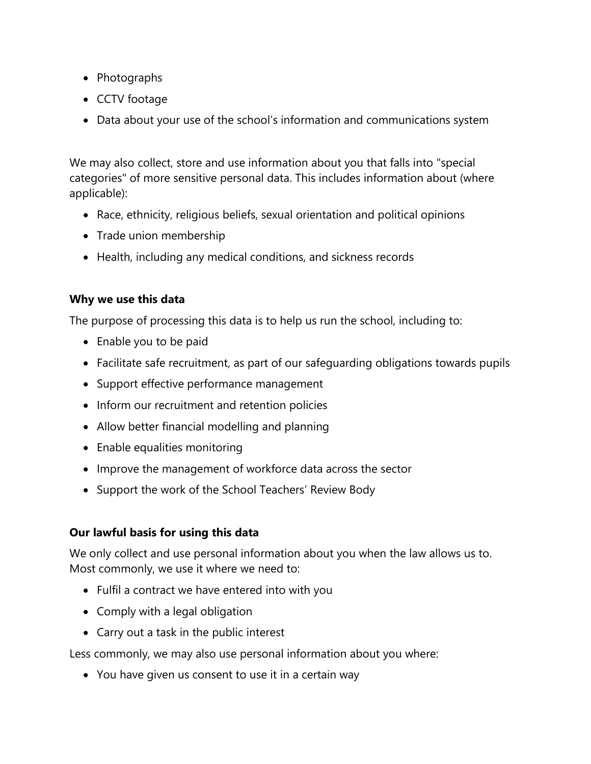- Photographs
- CCTV footage
- Data about your use of the school's information and communications system

We may also collect, store and use information about you that falls into "special categories" of more sensitive personal data. This includes information about (where applicable):

- Race, ethnicity, religious beliefs, sexual orientation and political opinions
- Trade union membership
- Health, including any medical conditions, and sickness records

## **Why we use this data**

The purpose of processing this data is to help us run the school, including to:

- Enable you to be paid
- Facilitate safe recruitment, as part of our safeguarding obligations towards pupils
- Support effective performance management
- Inform our recruitment and retention policies
- Allow better financial modelling and planning
- Enable equalities monitoring
- Improve the management of workforce data across the sector
- Support the work of the School Teachers' Review Body

# **Our lawful basis for using this data**

We only collect and use personal information about you when the law allows us to. Most commonly, we use it where we need to:

- Fulfil a contract we have entered into with you
- Comply with a legal obligation
- Carry out a task in the public interest

Less commonly, we may also use personal information about you where:

You have given us consent to use it in a certain way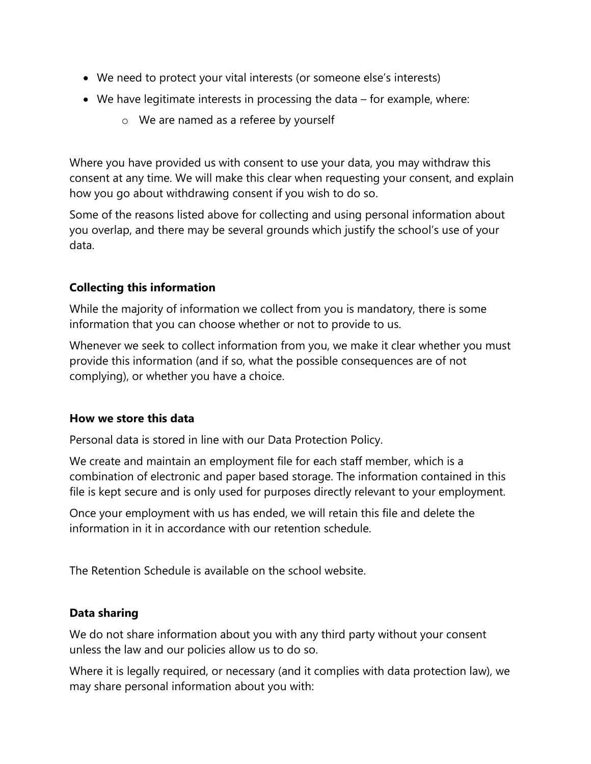- We need to protect your vital interests (or someone else's interests)
- We have legitimate interests in processing the data for example, where:
	- o We are named as a referee by yourself

Where you have provided us with consent to use your data, you may withdraw this consent at any time. We will make this clear when requesting your consent, and explain how you go about withdrawing consent if you wish to do so.

Some of the reasons listed above for collecting and using personal information about you overlap, and there may be several grounds which justify the school's use of your data.

### **Collecting this information**

While the majority of information we collect from you is mandatory, there is some information that you can choose whether or not to provide to us.

Whenever we seek to collect information from you, we make it clear whether you must provide this information (and if so, what the possible consequences are of not complying), or whether you have a choice.

### **How we store this data**

Personal data is stored in line with our Data Protection Policy.

We create and maintain an employment file for each staff member, which is a combination of electronic and paper based storage. The information contained in this file is kept secure and is only used for purposes directly relevant to your employment.

Once your employment with us has ended, we will retain this file and delete the information in it in accordance with our retention schedule.

The Retention Schedule is available on the school website.

### **Data sharing**

We do not share information about you with any third party without your consent unless the law and our policies allow us to do so.

Where it is legally required, or necessary (and it complies with data protection law), we may share personal information about you with: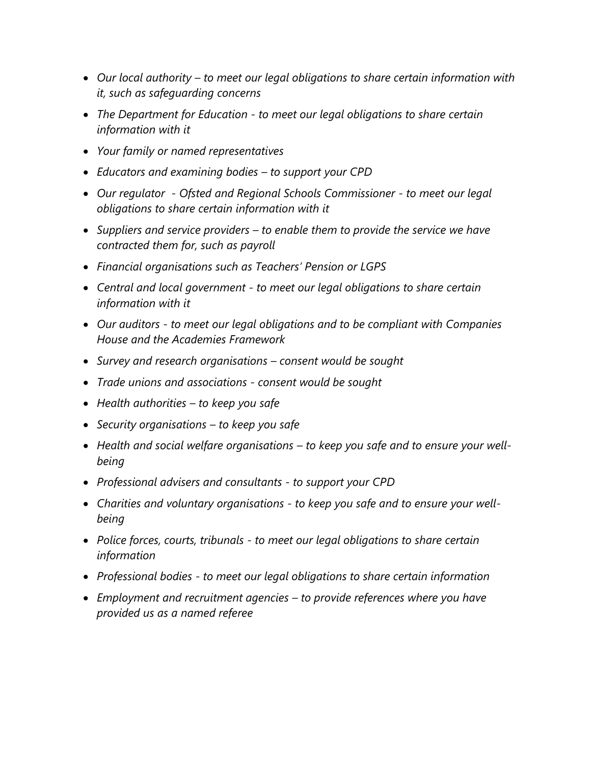- *Our local authority – to meet our legal obligations to share certain information with it, such as safeguarding concerns*
- *The Department for Education - to meet our legal obligations to share certain information with it*
- *Your family or named representatives*
- *Educators and examining bodies – to support your CPD*
- *Our regulator - Ofsted and Regional Schools Commissioner - to meet our legal obligations to share certain information with it*
- *Suppliers and service providers – to enable them to provide the service we have contracted them for, such as payroll*
- *Financial organisations such as Teachers' Pension or LGPS*
- *Central and local government - to meet our legal obligations to share certain information with it*
- *Our auditors - to meet our legal obligations and to be compliant with Companies House and the Academies Framework*
- *Survey and research organisations – consent would be sought*
- *Trade unions and associations - consent would be sought*
- *Health authorities – to keep you safe*
- *Security organisations – to keep you safe*
- *Health and social welfare organisations – to keep you safe and to ensure your wellbeing*
- *Professional advisers and consultants - to support your CPD*
- *Charities and voluntary organisations - to keep you safe and to ensure your wellbeing*
- *Police forces, courts, tribunals - to meet our legal obligations to share certain information*
- *Professional bodies - to meet our legal obligations to share certain information*
- *Employment and recruitment agencies – to provide references where you have provided us as a named referee*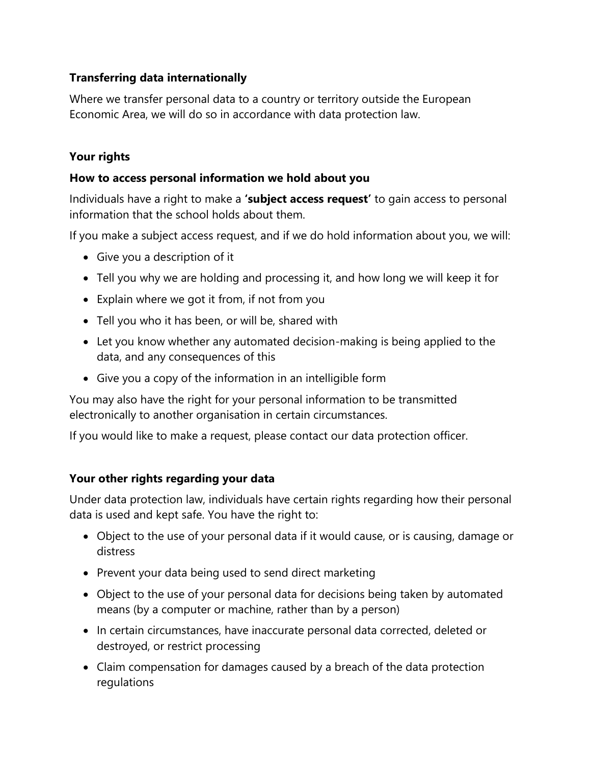### **Transferring data internationally**

Where we transfer personal data to a country or territory outside the European Economic Area, we will do so in accordance with data protection law.

### **Your rights**

### **How to access personal information we hold about you**

Individuals have a right to make a **'subject access request'** to gain access to personal information that the school holds about them.

If you make a subject access request, and if we do hold information about you, we will:

- Give you a description of it
- Tell you why we are holding and processing it, and how long we will keep it for
- Explain where we got it from, if not from you
- Tell you who it has been, or will be, shared with
- Let you know whether any automated decision-making is being applied to the data, and any consequences of this
- Give you a copy of the information in an intelligible form

You may also have the right for your personal information to be transmitted electronically to another organisation in certain circumstances.

If you would like to make a request, please contact our data protection officer.

### **Your other rights regarding your data**

Under data protection law, individuals have certain rights regarding how their personal data is used and kept safe. You have the right to:

- Object to the use of your personal data if it would cause, or is causing, damage or distress
- Prevent your data being used to send direct marketing
- Object to the use of your personal data for decisions being taken by automated means (by a computer or machine, rather than by a person)
- In certain circumstances, have inaccurate personal data corrected, deleted or destroyed, or restrict processing
- Claim compensation for damages caused by a breach of the data protection regulations